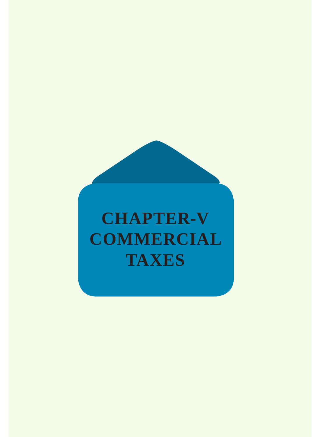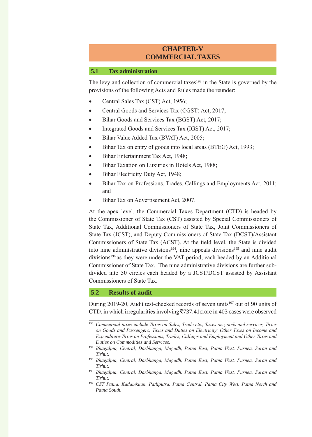# **CHAPTER-V COMMERCIAL TAXES**

#### **5.1 Tax administration**

The levy and collection of commercial taxes<sup>193</sup> in the State is governed by the provisions of the following Acts and Rules made the reunder:

- Central Sales Tax (CST) Act, 1956;
- Central Goods and Services Tax (CGST) Act, 2017;
- Bihar Goods and Services Tax (BGST) Act, 2017;
- Integrated Goods and Services Tax (IGST) Act, 2017;
- Bihar Value Added Tax (BVAT) Act, 2005;
- Bihar Tax on entry of goods into local areas (BTEG) Act, 1993;
- Bihar Entertainment Tax Act, 1948;
- Bihar Taxation on Luxuries in Hotels Act, 1988;
- Bihar Electricity Duty Act, 1948;
- Bihar Tax on Professions, Trades, Callings and Employments Act, 2011; and
- Bihar Tax on Advertisement Act, 2007.

At the apex level, the Commercial Taxes Department (CTD) is headed by the Commissioner of State Tax (CST) assisted by Special Commissioners of State Tax, Additional Commissioners of State Tax, Joint Commissioners of State Tax (JCST), and Deputy Commissioners of State Tax (DCST)/Assistant Commissioners of State Tax (ACST). At the field level, the State is divided into nine administrative divisions<sup>194</sup>, nine appeals divisions<sup>195</sup> and nine audit divisions<sup>196</sup> as they were under the VAT period, each headed by an Additional Commissioner of State Tax. The nine administrative divisions are further subdivided into 50 circles each headed by a JCST/DCST assisted by Assistant Commissioners of State Tax.

#### **5.2 Results of audit**

During 2019-20, Audit test-checked records of seven units<sup>197</sup> out of 90 units of CTD, in which irregularities involving  $\overline{5}737.41$  crore in 403 cases were observed

<sup>193</sup> *Commercial taxes include Taxes on Sales, Trade etc., Taxes on goods and services, Taxes on Goods and Passengers; Taxes and Duties on Electricity; Other Taxes on Income and Expenditure-Taxes on Professions, Trades, Callings and Employment and Other Taxes and Duties on Commodities and Services.*

<sup>194</sup> *Bhagalpur, Central, Darbhanga, Magadh, Patna East, Patna West, Purnea, Saran and Tirhut.*

<sup>195</sup> *Bhagalpur, Central, Darbhanga, Magadh, Patna East, Patna West, Purnea, Saran and Tirhut.*

<sup>196</sup> *Bhagalpur, Central, Darbhanga, Magadh, Patna East, Patna West, Purnea, Saran and Tirhut.*

<sup>197</sup> *CST Patna, Kadamkuan, Patliputra, Patna Central, Patna City West, Patna North and Patna South.*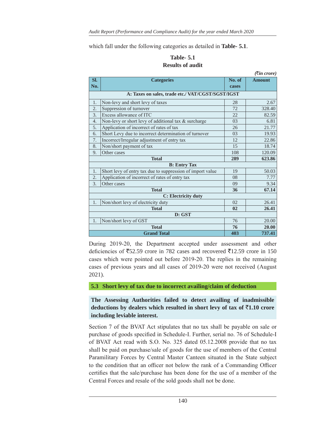which fall under the following categories as detailed in **Table- 5.1**.

## **Table- 5.1 Results of audit**

|                                                   |                                                            |                | $( \bar{\mathfrak{X}}$ in crore) |
|---------------------------------------------------|------------------------------------------------------------|----------------|----------------------------------|
| Sl.                                               | <b>Categories</b>                                          | No. of         | <b>Amount</b>                    |
| No.                                               |                                                            | cases          |                                  |
| A: Taxes on sales, trade etc./ VAT/CGST/SGST/IGST |                                                            |                |                                  |
| 1.                                                | Non-levy and short levy of taxes                           | 28             | 2.67                             |
| $\overline{2}$ .                                  | Suppression of turnover                                    | 72             | 328.40                           |
| 3.                                                | Excess allowance of ITC                                    | 22             | 82.59                            |
| 4.                                                | Non-levy or short levy of additional tax & surcharge       | 03             | 6.81                             |
| 5.                                                | Application of incorrect of rates of tax                   | 26             | 21.77                            |
| 6.                                                | Short Levy due to incorrect determination of turnover      | 0 <sub>3</sub> | 19.93                            |
| 7.                                                | Incorrect/Irregular adjustment of entry tax                | 12             | 22.86                            |
| 8.                                                | Non/short payment of tax                                   | 15             | 18.74                            |
| 9.                                                | Other cases                                                | 108            | 120.09                           |
| <b>Total</b>                                      |                                                            | 289            | 623.86                           |
| <b>B</b> : Entry Tax                              |                                                            |                |                                  |
| 1.                                                | Short levy of entry tax due to suppression of import value | 19             | 50.03                            |
| 2.                                                | Application of incorrect of rates of entry tax             | 08             | 7.77                             |
| 3.                                                | Other cases                                                | 09             | 9.34                             |
|                                                   | <b>Total</b>                                               | 36             | 67.14                            |
| C: Electricity duty                               |                                                            |                |                                  |
| 1.                                                | Non/short levy of electricity duty                         | 02             | 26.41                            |
|                                                   | <b>Total</b>                                               | 02             | 26.41                            |
| D: GST                                            |                                                            |                |                                  |
| 1.                                                | Non/short levy of GST                                      | 76             | 20.00                            |
| <b>Total</b>                                      |                                                            | 76             | 20.00                            |
| <b>Grand Total</b>                                |                                                            | 403            | 737.41                           |

During 2019-20, the Department accepted under assessment and other deficiencies of  $\overline{5}52.59$  crore in 782 cases and recovered  $\overline{5}12.59$  crore in 150 cases which were pointed out before 2019-20. The replies in the remaining cases of previous years and all cases of 2019-20 were not received (August 2021).

**5.3 Short levy of tax due to incorrect availing/claim of deduction**

## **The Assessing Authorities failed to detect availing of inadmissible**  deductions by dealers which resulted in short levy of tax of  $\overline{5}1.10$  crore **including leviable interest.**

Section 7 of the BVAT Act stipulates that no tax shall be payable on sale or purchase of goods specified in Schedule-I. Further, serial no. 76 of Schedule-I of BVAT Act read with S.O. No. 325 dated 05.12.2008 provide that no tax shall be paid on purchase/sale of goods for the use of members of the Central Paramilitary Forces by Central Master Canteen situated in the State subject to the condition that an officer not below the rank of a Commanding Officer certifies that the sale/purchase has been done for the use of a member of the Central Forces and resale of the sold goods shall not be done.